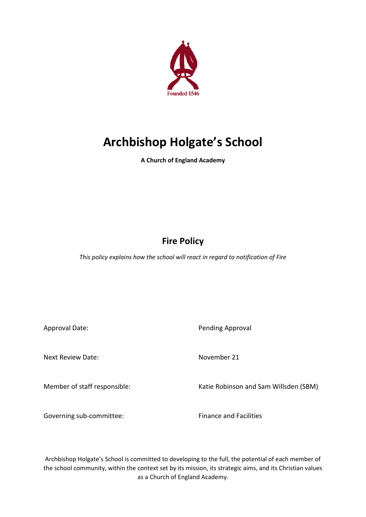

# **Archbishop Holgate's School**

**A Church of England Academy**

# **Fire Policy**

*This policy explains how the school will react in regard to notification of Fire* 

Approval Date: New York 1999 and Date: Pending Approval

Next Review Date: November 21

Member of staff responsible: Katie Robinson and Sam Willsden (SBM)

Governing sub-committee: Finance and Facilities

Archbishop Holgate's School is committed to developing to the full, the potential of each member of the school community, within the context set by its mission, its strategic aims, and its Christian values as a Church of England Academy.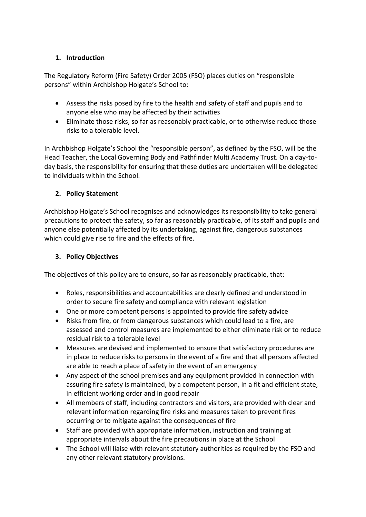# **1. Introduction**

The Regulatory Reform (Fire Safety) Order 2005 (FSO) places duties on "responsible persons" within Archbishop Holgate's School to:

- Assess the risks posed by fire to the health and safety of staff and pupils and to anyone else who may be affected by their activities
- Eliminate those risks, so far as reasonably practicable, or to otherwise reduce those risks to a tolerable level.

In Archbishop Holgate's School the "responsible person", as defined by the FSO, will be the Head Teacher, the Local Governing Body and Pathfinder Multi Academy Trust. On a day-today basis, the responsibility for ensuring that these duties are undertaken will be delegated to individuals within the School.

# **2. Policy Statement**

Archbishop Holgate's School recognises and acknowledges its responsibility to take general precautions to protect the safety, so far as reasonably practicable, of its staff and pupils and anyone else potentially affected by its undertaking, against fire, dangerous substances which could give rise to fire and the effects of fire.

# **3. Policy Objectives**

The objectives of this policy are to ensure, so far as reasonably practicable, that:

- Roles, responsibilities and accountabilities are clearly defined and understood in order to secure fire safety and compliance with relevant legislation
- One or more competent persons is appointed to provide fire safety advice
- Risks from fire, or from dangerous substances which could lead to a fire, are assessed and control measures are implemented to either eliminate risk or to reduce residual risk to a tolerable level
- Measures are devised and implemented to ensure that satisfactory procedures are in place to reduce risks to persons in the event of a fire and that all persons affected are able to reach a place of safety in the event of an emergency
- Any aspect of the school premises and any equipment provided in connection with assuring fire safety is maintained, by a competent person, in a fit and efficient state, in efficient working order and in good repair
- All members of staff, including contractors and visitors, are provided with clear and relevant information regarding fire risks and measures taken to prevent fires occurring or to mitigate against the consequences of fire
- Staff are provided with appropriate information, instruction and training at appropriate intervals about the fire precautions in place at the School
- The School will liaise with relevant statutory authorities as required by the FSO and any other relevant statutory provisions.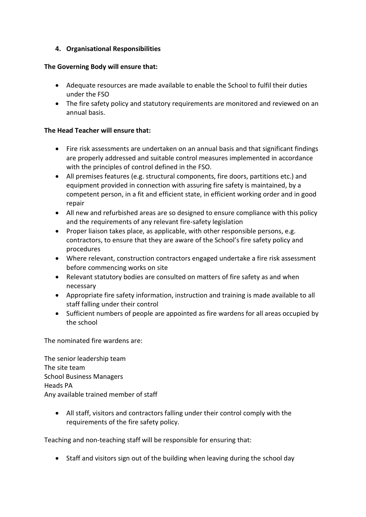# **4. Organisational Responsibilities**

# **The Governing Body will ensure that:**

- Adequate resources are made available to enable the School to fulfil their duties under the FSO
- The fire safety policy and statutory requirements are monitored and reviewed on an annual basis.

# **The Head Teacher will ensure that:**

- Fire risk assessments are undertaken on an annual basis and that significant findings are properly addressed and suitable control measures implemented in accordance with the principles of control defined in the FSO.
- All premises features (e.g. structural components, fire doors, partitions etc.) and equipment provided in connection with assuring fire safety is maintained, by a competent person, in a fit and efficient state, in efficient working order and in good repair
- All new and refurbished areas are so designed to ensure compliance with this policy and the requirements of any relevant fire-safety legislation
- Proper liaison takes place, as applicable, with other responsible persons, e.g. contractors, to ensure that they are aware of the School's fire safety policy and procedures
- Where relevant, construction contractors engaged undertake a fire risk assessment before commencing works on site
- Relevant statutory bodies are consulted on matters of fire safety as and when necessary
- Appropriate fire safety information, instruction and training is made available to all staff falling under their control
- Sufficient numbers of people are appointed as fire wardens for all areas occupied by the school

The nominated fire wardens are:

The senior leadership team The site team School Business Managers Heads PA Any available trained member of staff

• All staff, visitors and contractors falling under their control comply with the requirements of the fire safety policy.

Teaching and non-teaching staff will be responsible for ensuring that:

• Staff and visitors sign out of the building when leaving during the school day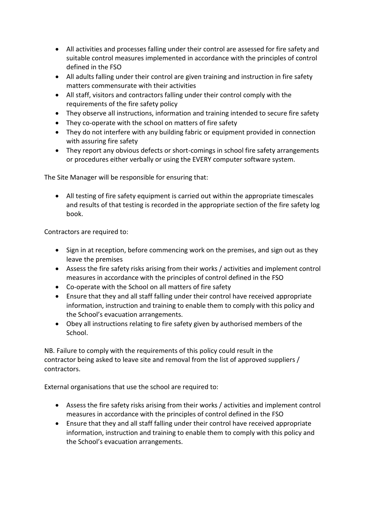- All activities and processes falling under their control are assessed for fire safety and suitable control measures implemented in accordance with the principles of control defined in the FSO
- All adults falling under their control are given training and instruction in fire safety matters commensurate with their activities
- All staff, visitors and contractors falling under their control comply with the requirements of the fire safety policy
- They observe all instructions, information and training intended to secure fire safety
- They co-operate with the school on matters of fire safety
- They do not interfere with any building fabric or equipment provided in connection with assuring fire safety
- They report any obvious defects or short-comings in school fire safety arrangements or procedures either verbally or using the EVERY computer software system.

The Site Manager will be responsible for ensuring that:

• All testing of fire safety equipment is carried out within the appropriate timescales and results of that testing is recorded in the appropriate section of the fire safety log book.

Contractors are required to:

- Sign in at reception, before commencing work on the premises, and sign out as they leave the premises
- Assess the fire safety risks arising from their works / activities and implement control measures in accordance with the principles of control defined in the FSO
- Co-operate with the School on all matters of fire safety
- Ensure that they and all staff falling under their control have received appropriate information, instruction and training to enable them to comply with this policy and the School's evacuation arrangements.
- Obey all instructions relating to fire safety given by authorised members of the School.

NB. Failure to comply with the requirements of this policy could result in the contractor being asked to leave site and removal from the list of approved suppliers / contractors.

External organisations that use the school are required to:

- Assess the fire safety risks arising from their works / activities and implement control measures in accordance with the principles of control defined in the FSO
- Ensure that they and all staff falling under their control have received appropriate information, instruction and training to enable them to comply with this policy and the School's evacuation arrangements.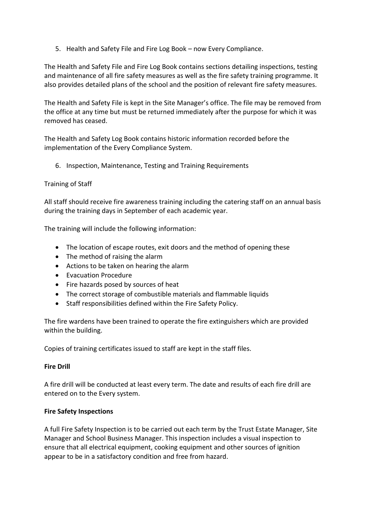5. Health and Safety File and Fire Log Book – now Every Compliance.

The Health and Safety File and Fire Log Book contains sections detailing inspections, testing and maintenance of all fire safety measures as well as the fire safety training programme. It also provides detailed plans of the school and the position of relevant fire safety measures.

The Health and Safety File is kept in the Site Manager's office. The file may be removed from the office at any time but must be returned immediately after the purpose for which it was removed has ceased.

The Health and Safety Log Book contains historic information recorded before the implementation of the Every Compliance System.

6. Inspection, Maintenance, Testing and Training Requirements

# Training of Staff

All staff should receive fire awareness training including the catering staff on an annual basis during the training days in September of each academic year.

The training will include the following information:

- The location of escape routes, exit doors and the method of opening these
- The method of raising the alarm
- Actions to be taken on hearing the alarm
- Evacuation Procedure
- Fire hazards posed by sources of heat
- The correct storage of combustible materials and flammable liquids
- Staff responsibilities defined within the Fire Safety Policy.

The fire wardens have been trained to operate the fire extinguishers which are provided within the building.

Copies of training certificates issued to staff are kept in the staff files.

# **Fire Drill**

A fire drill will be conducted at least every term. The date and results of each fire drill are entered on to the Every system.

# **Fire Safety Inspections**

A full Fire Safety Inspection is to be carried out each term by the Trust Estate Manager, Site Manager and School Business Manager. This inspection includes a visual inspection to ensure that all electrical equipment, cooking equipment and other sources of ignition appear to be in a satisfactory condition and free from hazard.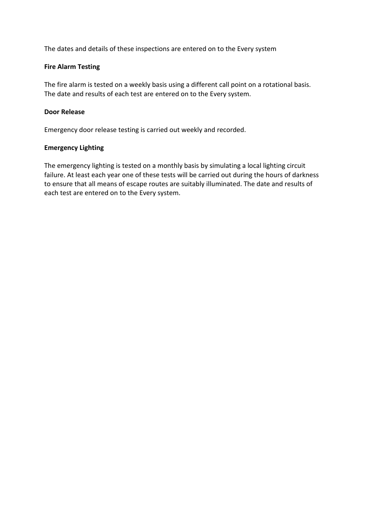The dates and details of these inspections are entered on to the Every system

#### **Fire Alarm Testing**

The fire alarm is tested on a weekly basis using a different call point on a rotational basis. The date and results of each test are entered on to the Every system.

#### **Door Release**

Emergency door release testing is carried out weekly and recorded.

#### **Emergency Lighting**

The emergency lighting is tested on a monthly basis by simulating a local lighting circuit failure. At least each year one of these tests will be carried out during the hours of darkness to ensure that all means of escape routes are suitably illuminated. The date and results of each test are entered on to the Every system.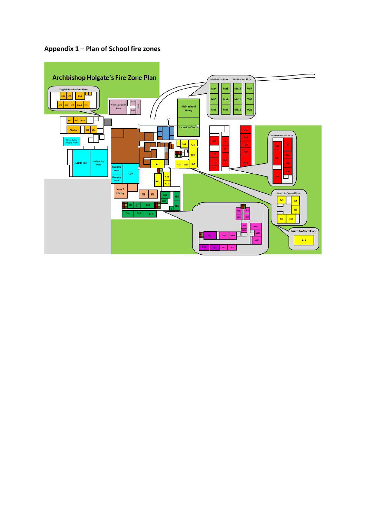# **Appendix 1 – Plan of School fire zones**

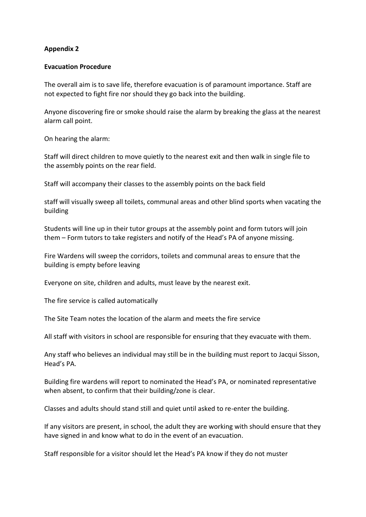#### **Evacuation Procedure**

The overall aim is to save life, therefore evacuation is of paramount importance. Staff are not expected to fight fire nor should they go back into the building.

Anyone discovering fire or smoke should raise the alarm by breaking the glass at the nearest alarm call point.

On hearing the alarm:

Staff will direct children to move quietly to the nearest exit and then walk in single file to the assembly points on the rear field.

Staff will accompany their classes to the assembly points on the back field

staff will visually sweep all toilets, communal areas and other blind sports when vacating the building

Students will line up in their tutor groups at the assembly point and form tutors will join them – Form tutors to take registers and notify of the Head's PA of anyone missing.

Fire Wardens will sweep the corridors, toilets and communal areas to ensure that the building is empty before leaving

Everyone on site, children and adults, must leave by the nearest exit.

The fire service is called automatically

The Site Team notes the location of the alarm and meets the fire service

All staff with visitors in school are responsible for ensuring that they evacuate with them.

Any staff who believes an individual may still be in the building must report to Jacqui Sisson, Head's PA.

Building fire wardens will report to nominated the Head's PA, or nominated representative when absent, to confirm that their building/zone is clear.

Classes and adults should stand still and quiet until asked to re-enter the building.

If any visitors are present, in school, the adult they are working with should ensure that they have signed in and know what to do in the event of an evacuation.

Staff responsible for a visitor should let the Head's PA know if they do not muster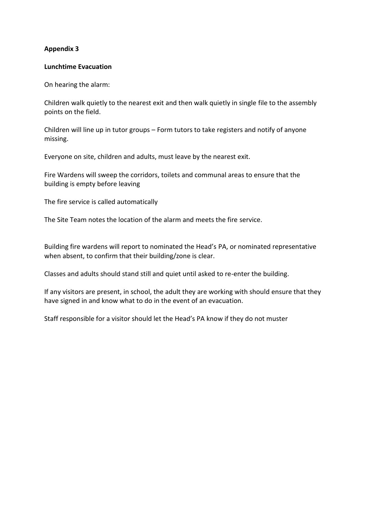#### **Lunchtime Evacuation**

On hearing the alarm:

Children walk quietly to the nearest exit and then walk quietly in single file to the assembly points on the field.

Children will line up in tutor groups – Form tutors to take registers and notify of anyone missing.

Everyone on site, children and adults, must leave by the nearest exit.

Fire Wardens will sweep the corridors, toilets and communal areas to ensure that the building is empty before leaving

The fire service is called automatically

The Site Team notes the location of the alarm and meets the fire service.

Building fire wardens will report to nominated the Head's PA, or nominated representative when absent, to confirm that their building/zone is clear.

Classes and adults should stand still and quiet until asked to re-enter the building.

If any visitors are present, in school, the adult they are working with should ensure that they have signed in and know what to do in the event of an evacuation.

Staff responsible for a visitor should let the Head's PA know if they do not muster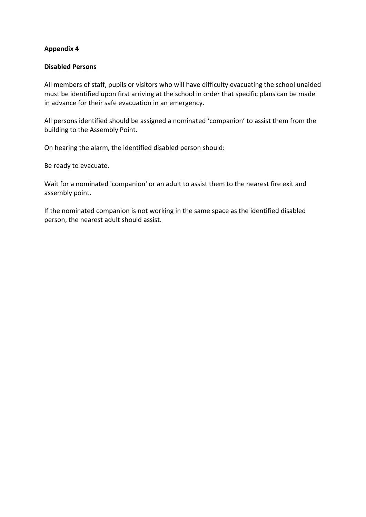#### **Disabled Persons**

All members of staff, pupils or visitors who will have difficulty evacuating the school unaided must be identified upon first arriving at the school in order that specific plans can be made in advance for their safe evacuation in an emergency.

All persons identified should be assigned a nominated 'companion' to assist them from the building to the Assembly Point.

On hearing the alarm, the identified disabled person should:

Be ready to evacuate.

Wait for a nominated 'companion' or an adult to assist them to the nearest fire exit and assembly point.

If the nominated companion is not working in the same space as the identified disabled person, the nearest adult should assist.